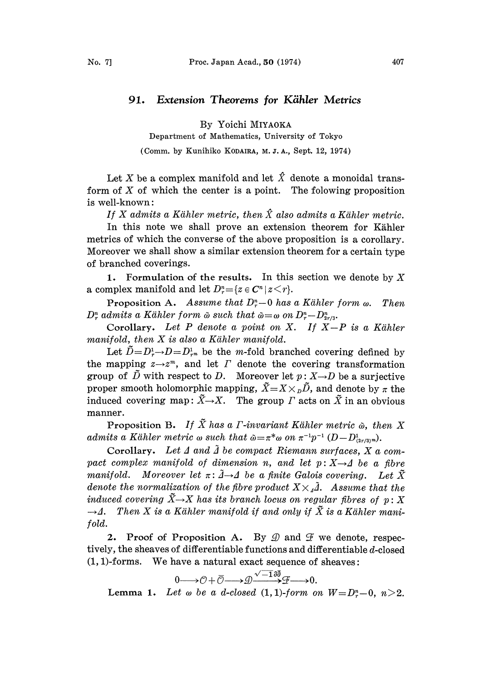## 91. Extension Theorems for Kähler Metrics

By Yoichi MIYAOKA

Department of Mathematics, University of Tokyo

(Comm. by Kunihiko KODAIRA, M. J. A., Sept. 12, 1974)

Let X be a complex manifold and let  $\hat{X}$  denote a monoidal transform of  $X$  of which the center is a point. The folowing proposition is well-known:

If X admits a Kähler metric, then  $\hat{X}$  also admits a Kähler metric.

In this note we shall prove an extension theorem for Kähler metrics of which the converse of the above proposition is a corollary. Moreover we shall show a similar extension theorem for a certain type of branched coverings.

1. Formulation of the results. In this section we denote by  $X$ a complex manifold and let  $D_r^n = \{z \in C^n | z \leq r\}.$ 

**Proposition A.** Assume that  $D_r^n-0$  has a Kähler form  $\omega$ . Then  $D_r^n$  admits a Kähler form  $\tilde{\omega}$  such that  $\tilde{\omega}=\omega$  on  $D_r^n-D_{2r/3}^n$ .

Corollary. Let  $P$  denote a point on  $X$ . If  $X-P$  is a Kähler manifold, then  $X$  is also a Kähler manifold.

Let  $\tilde{D}=D_{\tau}^1-D=D_{\tau}^1$  be the *m*-fold branched covering defined by the mapping  $z \rightarrow z^m$ , and let  $\Gamma$  denote the covering transformation group of  $\tilde{D}$  with respect to D. Moreover let  $p: X \rightarrow D$  be a surjective proper smooth holomorphic mapping,  $\tilde{X}=X\times_D \tilde{D}$ , and denote by  $\pi$  the induced covering map:  $\tilde{X}\rightarrow X$ . The group  $\Gamma$  acts on  $\tilde{X}$  in an obvious manner.

Proposition B. If  $\tilde{X}$  has a *Γ*-invariant Kähler metric  $\tilde{\omega}$ , then X admits a Kähler metric  $\omega$  such that  $\tilde{\omega}=\pi^*\omega$  on  $\pi^{-1}p^{-1}(D-D^1_{(2r/3)^m}).$ 

Corollary. Let  $\Delta$  and  $\tilde{\Delta}$  be compact Riemann surfaces,  $X$  a compact complex manifold of dimension n, and let  $p: X \rightarrow A$  be a fibre manifold. Moreover let  $\pi: \mathcal{A} \to \mathcal{A}$  be a finite Galois covering. Let  $\tilde{X}$ <br>denote the normalization of the fibre product  $X \times \tilde{A}$  . Assume that the denote the normalization of the fibre product  $X \times \tilde{A}$ . Assume that the induced covering  $\tilde{X}{\rightarrow}X$  has its branch locus on regular fibres of  $p: X$  $\rightarrow$  4. Then X is a Kähler manifold if and only if  $\tilde{X}$  is a Kähler manifold.

2. Proof of Proposition A. By  $\mathcal{D}$  and  $\mathcal{F}$  we denote, respectively, the sheaves of differentiable functions and differentiable  $d$ -closed  $(1, 1)$ -forms. We have a natural exact sequence of sheaves:

$$
0{\longrightarrow} {\mathcal O} + \bar{{\mathcal O}} {\longrightarrow} {\mathcal Q} \frac{{\sqrt{-1}\, \partial \bar{\partial}}}{\longrightarrow} {\mathcal F} {\longrightarrow} 0.
$$

Lemma 1. Let  $\omega$  be a d-closed (1, 1)-form on  $W = D_r^n - 0$ ,  $n > 2$ .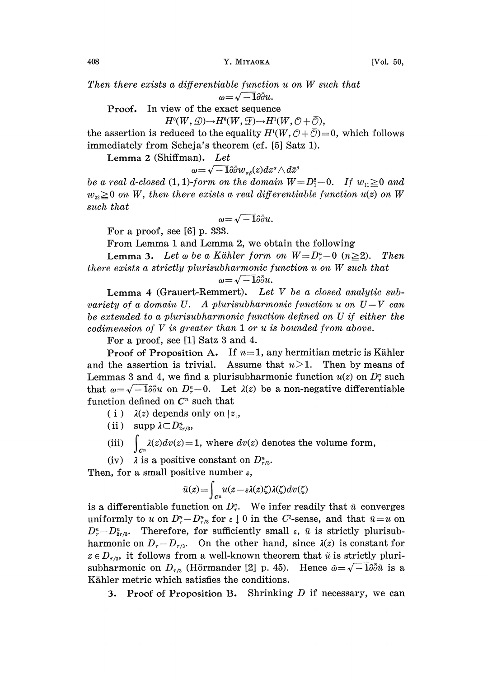408 Y. MIYAOKA [Vol. 50,

Then there exists <sup>a</sup> differentiable function <sup>u</sup> on W such that

 $\omega = \sqrt{-1} \partial \bar{\partial} u.$ 

Proof. In view o the exact sequence

 $H^0(W, \mathcal{D}) \rightarrow H^0(W, \mathcal{F}) \rightarrow H^1(W, \mathcal{O} + \overline{\mathcal{O}}),$ 

the assertion is reduced to the equality  $H^1(W, \mathcal{O} + \overline{\mathcal{O}}) = 0$ , which follows immediately from Scheja's theorem (cf. [5] Satz 1).

Lemma 2 (Shiffman). Let

 $\omega{=}\sqrt{-1}\partial\bar{\partial}w_{\alpha\beta}(z)dz^{\alpha}\wedge d\bar{z}^{\beta}$ 

be a real d-closed (1, 1)-form on the domain  $W = D_1^2 - 0$ . If  $w_{11} \ge 0$  and  $w_{22} \ge 0$  on W, then there exists a real differentiable function  $u(z)$  on W such that

$$
\omega = \sqrt{-1}\partial \bar{\partial} u.
$$

For a proof, see [6] p. 333.

From Lemma <sup>1</sup> and Lemma 2, we obtain the following

**Lemma 3.** Let  $\omega$  be a Kähler form on  $W = D_{\tau}^n - 0$  ( $n \ge 2$ ). Then there exists <sup>a</sup> strictly plurisubharmonic function <sup>u</sup> on W such that

$$
y=\sqrt{-1}\partial\overline{\partial} u.
$$

Lemma 4 (Grauert-Remmert). Let  $V$  be a closed analytic subvariety of a domain U. A plurisubharmonic function u on  $U-V$  can be extended to a plurisubharmonic function defined on U if either the codimension of V is greater than <sup>I</sup> or u is bounded from above.

For a proof, see [1] Satz 3 and 4.

Proof of Proposition A. If  $n=1$ , any hermitian metric is Kähler and the assertion is trivial. Assume that  $n>1$ . Then by means of Lemmas 3 and 4, we find a plurisubharmonic function  $u(z)$  on  $D<sup>n</sup>$  such that  $\omega=\sqrt{-1}\partial\bar{\partial}u$  on  $D_{r}^{n}-0$ . Let  $\lambda(z)$  be a non-negative differentiable function defined on  $C<sup>n</sup>$  such that

- ( i )  $\lambda(z)$  depends only on |z|,
- (ii)  $\sup p \lambda \subset D_{2r/3}^n$ ,
- (iii)  $\int_{C^n} \lambda(z)dv(z) = 1$ , where  $dv(z)$  denotes the volume form,
- (iv)  $\lambda$  is a positive constant on  $D_{r/3}^n$ .

Then, for a small positive number  $\varepsilon$ ,

$$
\tilde{u}(z) = \int_{C^n} u(z - \varepsilon \lambda(z) \zeta) \lambda(\zeta) dv(\zeta)
$$

is a differentiable function on  $D_r^n$ . We infer readily that  $\tilde{u}$  converges uniformly to u on  $D_{\tau}^n - D_{\tau/3}^n$  for  $\varepsilon \downarrow 0$  in the C<sup>2</sup>-sense, and that  $\tilde{u} = u$  on  $D_{r}^{n}-D_{2r/3}^{n}$ . Therefore, for sufficiently small  $\varepsilon$ ,  $\tilde{u}$  is strictly plurisubharmonic on  $D_{r}-D_{r/3}$ . On the other hand, since  $\lambda(z)$  is constant for  $z \in D_{r/3}$ , it follows from a well-known theorem that  $\tilde{u}$  is strictly plurisubharmonic on  $D_{r/3}$  (Hörmander [2] p. 45). Hence  $\tilde{\omega} = \sqrt{-1} \partial \overline{\partial} \tilde{u}$  is a Kähler metric which satisfies the conditions.

3. Proof of Proposition B. Shrinking  $D$  if necessary, we can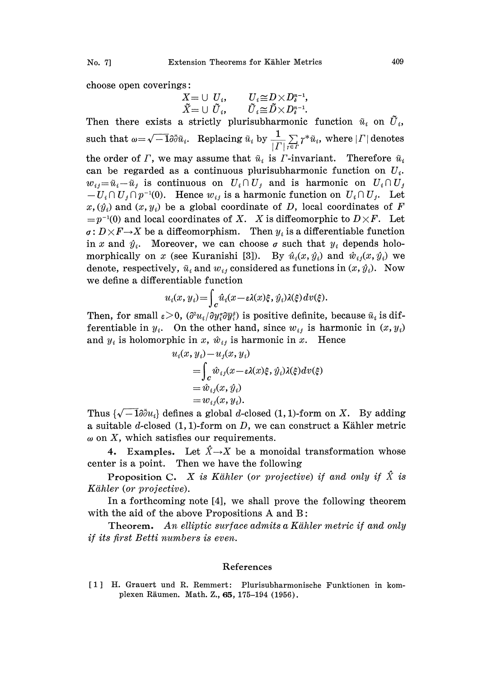No. 7] Extension Theorems for Kähler Metrics 409

choose open coverings:

 $\begin{array}{lll} \widetilde{X}=\cup\,\, U_i, & \quad U_i{\, \cong\, } D{\times} D^{n-1}_i, \ \widetilde{X}=\cup\,\, \widetilde{U}_i, & \quad \widetilde{U}_i{\, \cong\, } \widetilde{D}{\times} D^{n-1}_i. \end{array}$ 

Then there exists a strictly plurisubharmonic function  $\tilde{u}_i$  on  $\tilde{U}_i$ , such that  $\omega = \sqrt{-1} \partial \bar{\partial} \tilde{u}_i$ . Replacing  $\tilde{u}_i$  by  $\frac{1}{|I|} \sum_{i \in I} \gamma^* \tilde{u}_i$ , where  $|I|$  denotes the order of  $\Gamma$ , we may assume that  $\tilde{u}_i$  is  $\Gamma$ -invariant. Therefore  $\tilde{u}_i$ can be regarded as a continuous plurisubharmonic function on  $U_i$ .  $w_{ij} = \tilde{u}_i - \tilde{u}_j$  is continuous on  $U_i \cap U_j$  and is harmonic on  $U_i \cap U_j$  $-U_i \cap U_j \cap p^{-1}(0)$ . Hence  $w_{ij}$  is a harmonic function on  $U_i \cap U_j$ . Let  $x, (\hat{y}_i)$  and  $(x, y_i)$  be a global coordinate of D, local coordinates of F  $=p^{-1}(0)$  and local coordinates of X. X is diffeomorphic to  $D \times F$ . Let  $\sigma: D \times F \rightarrow X$  be a diffeomorphism. Then  $y_i$  is a differentiable function in x and  $\hat{y}_i$ . Moreover, we can choose  $\sigma$  such that  $y_i$  depends holomorphically on x (see Kuranishi [3]). By  $\hat{u}_i(x, \hat{y}_i)$  and  $\hat{w}_{ij}(x, \hat{y}_i)$  we denote, respectively,  $\tilde{u}_i$  and  $w_{ij}$  considered as functions in  $(x, \hat{y}_i)$ . Now we define a differentiable function

$$
u_i(x, y_i) = \int_C \hat{u}_i(x - \varepsilon \lambda(x)\xi, \hat{y}_i) \lambda(\xi) dv(\xi).
$$

Then, for small  $\varepsilon > 0$ ,  $\left(\frac{\partial^2 u_i}{\partial y_i^2} \frac{\partial \overline{y}_i^2}{\partial y_i^2}\right)$  is positive definite, because  $\tilde{u}_i$  is differentiable in  $y_i$ . On the other hand, since  $w_{ij}$  is harmonic in  $(x, y_i)$ and  $y_i$  is holomorphic in x,  $\hat{w}_{ij}$  is harmonic in x. Hence

$$
u_i(x, y_i) - u_j(x, y_i)
$$
  
= 
$$
\int_c \hat{w}_{ij}(x - \varepsilon \lambda(x)\xi, \hat{y}_i) \lambda(\xi) dv(\xi)
$$
  
= 
$$
\hat{w}_{ij}(x, \hat{y}_i)
$$
  
= 
$$
w_{ij}(x, y_i).
$$

Thus  $\{\sqrt{-1}\partial\bar{\partial}u_i\}$  defines a global d-closed (1, 1)-form on X. By adding a suitable d-closed  $(1, 1)$ -form on D, we can construct a Kähler metric  $\omega$  on X, which satisfies our requirements.

4. Examples. Let  $\hat{X} \rightarrow X$  be a monoidal transformation whose center is a point. Then we have the following

**Proposition C.** X is Kähler (or projective) if and only if  $\hat{X}$  is Kihler (or projective).

In a forthcoming note  $[4]$ , we shall prove the following theorem with the aid of the above Propositions A and  $B$ :

Theorem. An elliptic surface admits a Kähler metric if and only if its first Betti numbers is even.

## References

<sup>1</sup> H. Grauert und R. Remmert- Plurisubharmonische Funktionen in komplexen Riiumen. Math. Z., 65, 175-194 (1956).